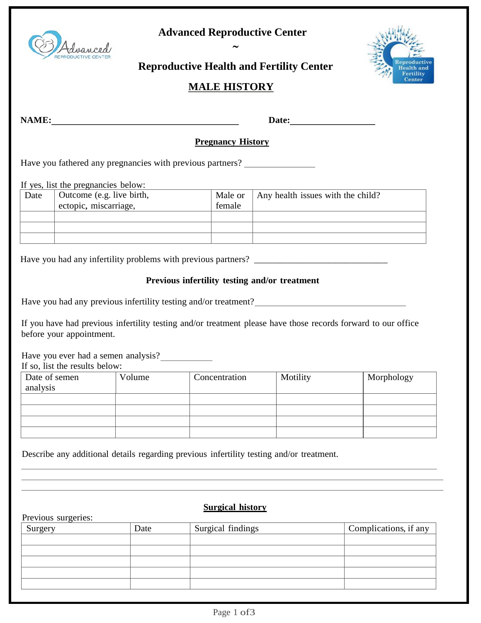

## **Advanced Reproductive Center** ∼



# **Reproductive Health and Fertility Center**

## **MALE HISTORY**

**NAME: Date:**

#### **Pregnancy History**

Have you fathered any pregnancies with previous partners?

If yes, list the pregnancies below:

| Date | Outcome (e.g. live birth, | Male or | Any health issues with the child? |
|------|---------------------------|---------|-----------------------------------|
|      | ectopic, miscarriage,     | female  |                                   |
|      |                           |         |                                   |
|      |                           |         |                                   |
|      |                           |         |                                   |

Have you had any infertility problems with previous partners? \_\_\_\_\_\_\_\_\_\_\_\_\_\_\_\_\_\_\_

#### **Previous infertility testing and/or treatment**

|  |  |  |  | Have you had any previous infertility testing and/or treatment? |
|--|--|--|--|-----------------------------------------------------------------|
|  |  |  |  |                                                                 |
|  |  |  |  |                                                                 |

If you have had previous infertility testing and/or treatment please have those records forward to our office before your appointment.

Have you ever had a semen analysis?

If so, list the results below:

Previous surgeries:

| Date of semen<br>analysis | Volume | Concentration | Motility | Morphology |
|---------------------------|--------|---------------|----------|------------|
|                           |        |               |          |            |
|                           |        |               |          |            |
|                           |        |               |          |            |
|                           |        |               |          |            |

Describe any additional details regarding previous infertility testing and/or treatment.

#### **Surgical history**

| Surgery | Date | Surgical findings | Complications, if any |
|---------|------|-------------------|-----------------------|
|         |      |                   |                       |
|         |      |                   |                       |
|         |      |                   |                       |
|         |      |                   |                       |
|         |      |                   |                       |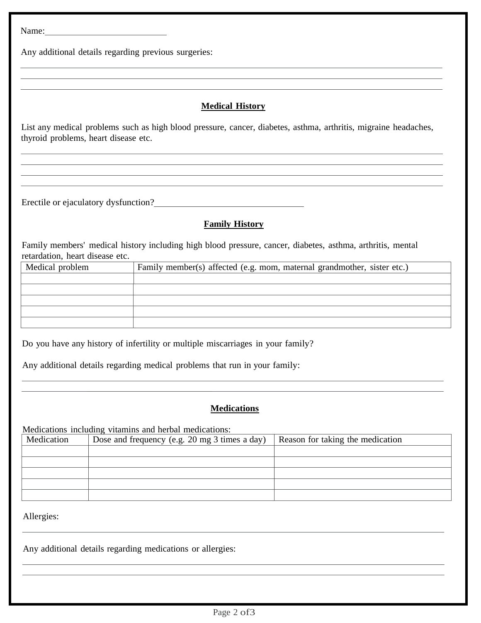Name:

Any additional details regarding previous surgeries:

### **Medical History**

<u> 1980 - Andrea Santa Andrea Andrea Andrea Andrea Andrea Andrea Andrea Andrea Andrea Andrea Andrea Andrea Andr</u>

<u> 1989 - Johann Stoff, amerikansk politiker (d. 1989)</u>

List any medical problems such as high blood pressure, cancer, diabetes, asthma, arthritis, migraine headaches, thyroid problems, heart disease etc.

Erectile or ejaculatory dysfunction?<br>
<u>Executive or equal</u>

### **Family History**

Family members' medical history including high blood pressure, cancer, diabetes, asthma, arthritis, mental retardation, heart disease etc.

| Medical problem | Family member(s) affected (e.g. mom, maternal grandmother, sister etc.) |
|-----------------|-------------------------------------------------------------------------|
|                 |                                                                         |
|                 |                                                                         |
|                 |                                                                         |
|                 |                                                                         |
|                 |                                                                         |

Do you have any history of infertility or multiple miscarriages in your family?

Any additional details regarding medical problems that run in your family:

### **Medications**

Medications including vitamins and herbal medications:

| Medication | Dose and frequency (e.g. 20 mg 3 times a day) | Reason for taking the medication |
|------------|-----------------------------------------------|----------------------------------|
|            |                                               |                                  |
|            |                                               |                                  |
|            |                                               |                                  |
|            |                                               |                                  |
|            |                                               |                                  |

Allergies:

Any additional details regarding medications or allergies: